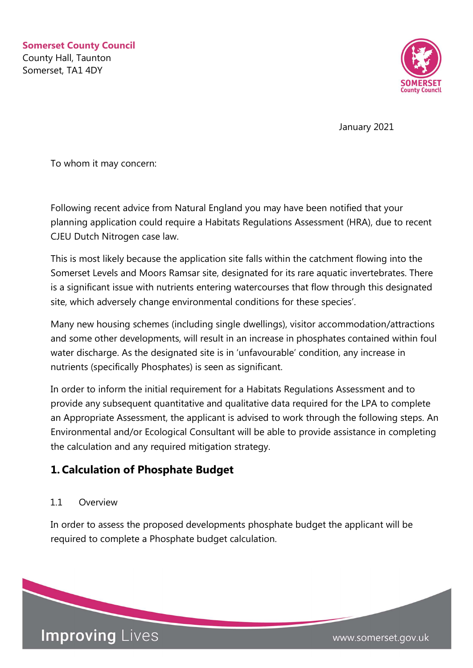

January 2021

To whom it may concern:

Following recent advice from Natural England you may have been notified that your planning application could require a Habitats Regulations Assessment (HRA), due to recent CJEU Dutch Nitrogen case law.

This is most likely because the application site falls within the catchment flowing into the Somerset Levels and Moors Ramsar site, designated for its rare aquatic invertebrates. There is a significant issue with nutrients entering watercourses that flow through this designated site, which adversely change environmental conditions for these species'.

Many new housing schemes (including single dwellings), visitor accommodation/attractions and some other developments, will result in an increase in phosphates contained within foul water discharge. As the designated site is in 'unfavourable' condition, any increase in nutrients (specifically Phosphates) is seen as significant.

In order to inform the initial requirement for a Habitats Regulations Assessment and to provide any subsequent quantitative and qualitative data required for the LPA to complete an Appropriate Assessment, the applicant is advised to work through the following steps. An Environmental and/or Ecological Consultant will be able to provide assistance in completing the calculation and any required mitigation strategy.

# 1. Calculation of Phosphate Budget

## 11 Overview

In order to assess the proposed developments phosphate budget the applicant will be required to complete a Phosphate budget calculation.

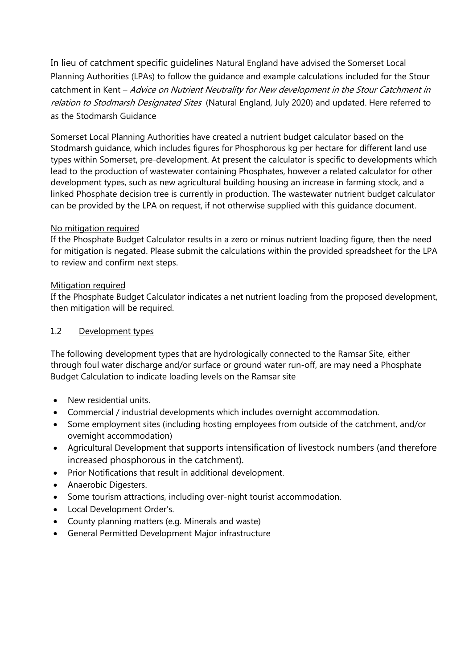In lieu of catchment specific guidelines Natural England have advised the Somerset Local Planning Authorities (LPAs) to follow the guidance and example calculations included for the Stour catchment in Kent - Advice on Nutrient Neutrality for New development in the Stour Catchment in relation to Stodmarsh Designated Sites (Natural England, July 2020) and updated. Here referred to as the Stodmarsh Guidance

Somerset Local Planning Authorities have created a nutrient budget calculator based on the Stodmarsh guidance, which includes figures for Phosphorous kg per hectare for different land use types within Somerset, pre-development. At present the calculator is specific to developments which lead to the production of wastewater containing Phosphates, however a related calculator for other development types, such as new agricultural building housing an increase in farming stock, and a linked Phosphate decision tree is currently in production. The wastewater nutrient budget calculator can be provided by the LPA on request, if not otherwise supplied with this guidance document.

#### No mitigation required

If the Phosphate Budget Calculator results in a zero or minus nutrient loading figure, then the need for mitigation is negated. Please submit the calculations within the provided spreadsheet for the LPA to review and confirm next steps.

#### Mitigation required

If the Phosphate Budget Calculator indicates a net nutrient loading from the proposed development, then mitigation will be required.

#### 1.2 Development types

The following development types that are hydrologically connected to the Ramsar Site, either through foul water discharge and/or surface or ground water run-off, are may need a Phosphate Budget Calculation to indicate loading levels on the Ramsar site

- New residential units.
- Commercial / industrial developments which includes overnight accommodation.
- Some employment sites (including hosting employees from outside of the catchment, and/or overnight accommodation)
- Agricultural Development that supports intensification of livestock numbers (and therefore increased phosphorous in the catchment).
- Prior Notifications that result in additional development.
- Anaerobic Digesters.
- Some tourism attractions, including over-night tourist accommodation.
- Local Development Order's.
- County planning matters (e.g. Minerals and waste)
- General Permitted Development Major infrastructure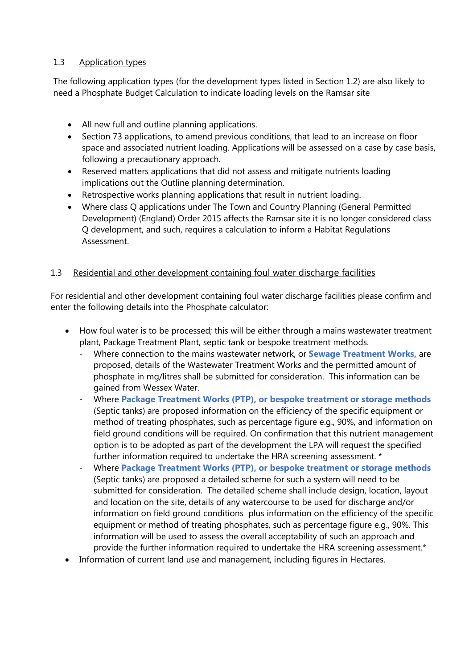#### 1.3 Application types

The following application types (for the development types listed in Section 1.2) are also likely to need a Phosphate Budget Calculation to indicate loading levels on the Ramsar site

- All new full and outline planning applications.
- Section 73 applications, to amend previous conditions, that lead to an increase on floor space and associated nutrient loading. Applications will be assessed on a case by case basis, following a precautionary approach.
- Reserved matters applications that did not assess and mitigate nutrients loading implications out the Outline planning determination.
- Retrospective works planning applications that result in nutrient loading.
- Where class Q applications under The Town and Country Planning (General Permitted Development) (England) Order 2015 affects the Ramsar site it is no longer considered class Q development, and such, requires a calculation to inform a Habitat Regulations Assessment.

## 1.3 Residential and other development containing foul water discharge facilities

For residential and other development containing foul water discharge facilities please confirm and enter the following details into the Phosphate calculator:

- How foul water is to be processed; this will be either through a mains wastewater treatment plant, Package Treatment Plant, septic tank or bespoke treatment methods.
	- Where connection to the mains wastewater network, or **Sewage Treatment Works**, are proposed, details of the Wastewater Treatment Works and the permitted amount of phosphate in mg/litres shall be submitted for consideration. This information can be gained from Wessex Water.
	- Where Package Treatment Works (PTP), or bespoke treatment or storage methods (Septic tanks) are proposed information on the efficiency of the specific equipment or method of treating phosphates, such as percentage figure e.g., 90%, and information on field ground conditions will be required. On confirmation that this nutrient management option is to be adopted as part of the development the LPA will request the specified further information required to undertake the HRA screening assessment. \*
	- Where Package Treatment Works (PTP), or bespoke treatment or storage methods (Septic tanks) are proposed a detailed scheme for such a system will need to be submitted for consideration. The detailed scheme shall include design, location, layout and location on the site, details of any watercourse to be used for discharge and/or information on field ground conditions plus information on the efficiency of the specific equipment or method of treating phosphates, such as percentage figure e.g., 90%. This information will be used to assess the overall acceptability of such an approach and provide the further information required to undertake the HRA screening assessment.\*
- Information of current land use and management, including figures in Hectares.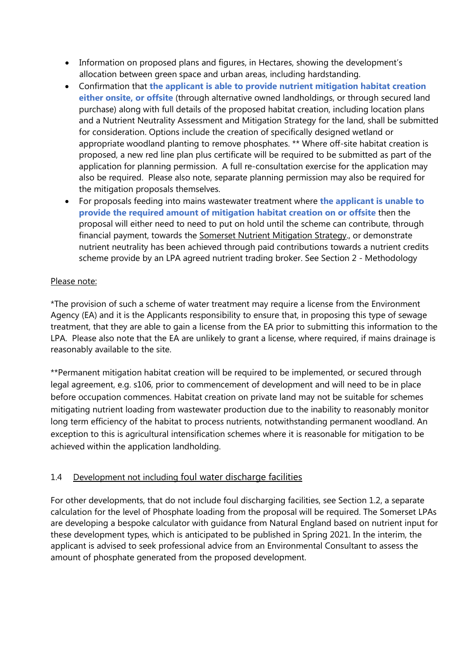- Information on proposed plans and figures, in Hectares, showing the development's allocation between green space and urban areas, including hardstanding.
- Confirmation that the applicant is able to provide nutrient mitigation habitat creation either onsite, or offsite (through alternative owned landholdings, or through secured land purchase) along with full details of the proposed habitat creation, including location plans and a Nutrient Neutrality Assessment and Mitigation Strategy for the land, shall be submitted for consideration. Options include the creation of specifically designed wetland or appropriate woodland planting to remove phosphates. \*\* Where off-site habitat creation is proposed, a new red line plan plus certificate will be required to be submitted as part of the application for planning permission. A full re-consultation exercise for the application may also be required. Please also note, separate planning permission may also be required for the mitigation proposals themselves.
- For proposals feeding into mains wastewater treatment where the applicant is unable to provide the required amount of mitigation habitat creation on or offsite then the proposal will either need to need to put on hold until the scheme can contribute, through financial payment, towards the Somerset Nutrient Mitigation Strategy., or demonstrate nutrient neutrality has been achieved through paid contributions towards a nutrient credits scheme provide by an LPA agreed nutrient trading broker. See Section 2 - Methodology

## Please note:

\*The provision of such a scheme of water treatment may require a license from the Environment Agency (EA) and it is the Applicants responsibility to ensure that, in proposing this type of sewage treatment, that they are able to gain a license from the EA prior to submitting this information to the LPA. Please also note that the EA are unlikely to grant a license, where required, if mains drainage is reasonably available to the site.

\*\*Permanent mitigation habitat creation will be required to be implemented, or secured through legal agreement, e.g. s106, prior to commencement of development and will need to be in place before occupation commences. Habitat creation on private land may not be suitable for schemes mitigating nutrient loading from wastewater production due to the inability to reasonably monitor long term efficiency of the habitat to process nutrients, notwithstanding permanent woodland. An exception to this is agricultural intensification schemes where it is reasonable for mitigation to be achieved within the application landholding.

## 1.4 Development not including foul water discharge facilities

For other developments, that do not include foul discharging facilities, see Section 1.2, a separate calculation for the level of Phosphate loading from the proposal will be required. The Somerset LPAs are developing a bespoke calculator with guidance from Natural England based on nutrient input for these development types, which is anticipated to be published in Spring 2021. In the interim, the applicant is advised to seek professional advice from an Environmental Consultant to assess the amount of phosphate generated from the proposed development.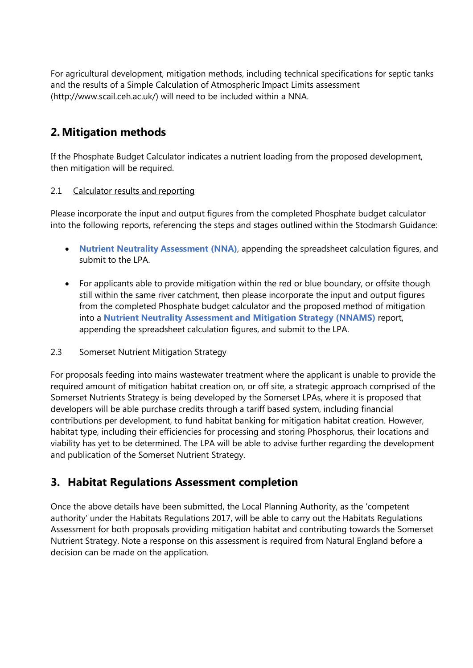For agricultural development, mitigation methods, including technical specifications for septic tanks and the results of a Simple Calculation of Atmospheric Impact Limits assessment (http://www.scail.ceh.ac.uk/) will need to be included within a NNA.

# 2. Mitigation methods

If the Phosphate Budget Calculator indicates a nutrient loading from the proposed development, then mitigation will be required.

## 2.1 Calculator results and reporting

Please incorporate the input and output figures from the completed Phosphate budget calculator into the following reports, referencing the steps and stages outlined within the Stodmarsh Guidance:

- Nutrient Neutrality Assessment (NNA), appending the spreadsheet calculation figures, and submit to the LPA.
- For applicants able to provide mitigation within the red or blue boundary, or offsite though still within the same river catchment, then please incorporate the input and output figures from the completed Phosphate budget calculator and the proposed method of mitigation into a Nutrient Neutrality Assessment and Mitigation Strategy (NNAMS) report, appending the spreadsheet calculation figures, and submit to the LPA.

#### 2.3 Somerset Nutrient Mitigation Strategy

For proposals feeding into mains wastewater treatment where the applicant is unable to provide the required amount of mitigation habitat creation on, or off site, a strategic approach comprised of the Somerset Nutrients Strategy is being developed by the Somerset LPAs, where it is proposed that developers will be able purchase credits through a tariff based system, including financial contributions per development, to fund habitat banking for mitigation habitat creation. However, habitat type, including their efficiencies for processing and storing Phosphorus, their locations and viability has yet to be determined. The LPA will be able to advise further regarding the development and publication of the Somerset Nutrient Strategy.

# 3. Habitat Regulations Assessment completion

Once the above details have been submitted, the Local Planning Authority, as the 'competent authority' under the Habitats Regulations 2017, will be able to carry out the Habitats Regulations Assessment for both proposals providing mitigation habitat and contributing towards the Somerset Nutrient Strategy. Note a response on this assessment is required from Natural England before a decision can be made on the application.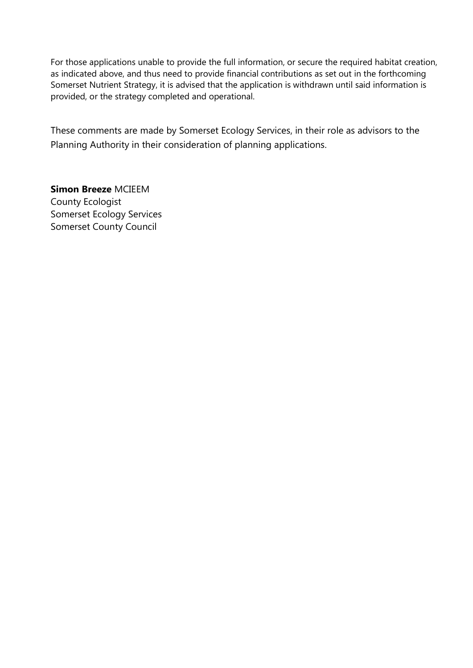For those applications unable to provide the full information, or secure the required habitat creation, as indicated above, and thus need to provide financial contributions as set out in the forthcoming Somerset Nutrient Strategy, it is advised that the application is withdrawn until said information is provided, or the strategy completed and operational.

These comments are made by Somerset Ecology Services, in their role as advisors to the Planning Authority in their consideration of planning applications.

Simon Breeze MCIEEM County Ecologist Somerset Ecology Services Somerset County Council